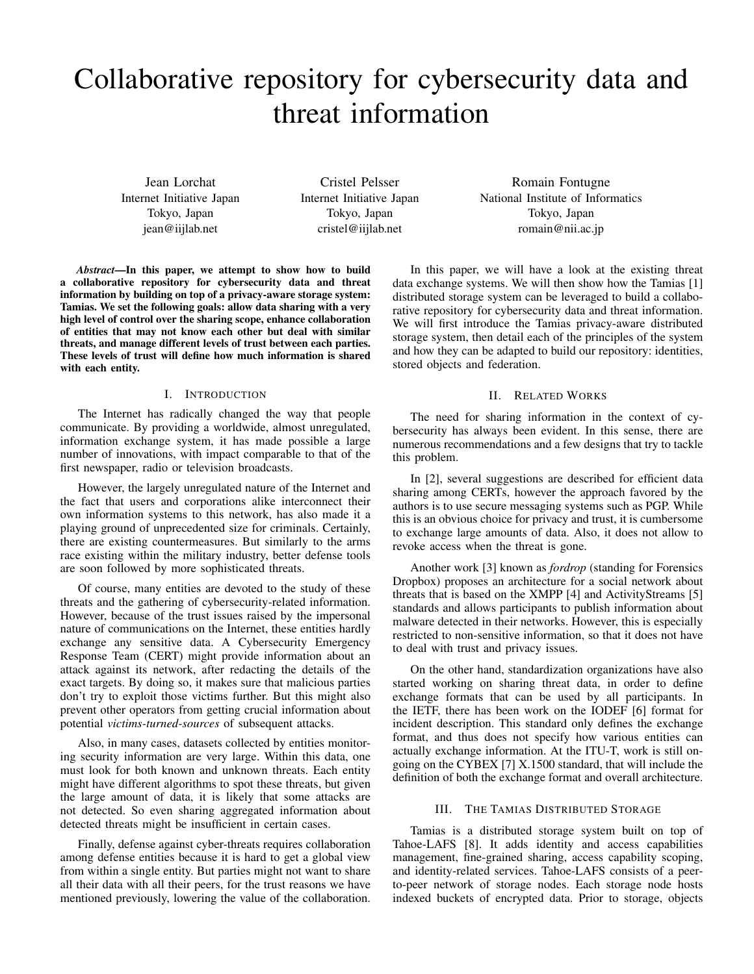# Collaborative repository for cybersecurity data and threat information

Jean Lorchat Internet Initiative Japan Tokyo, Japan jean@iijlab.net

Cristel Pelsser Internet Initiative Japan Tokyo, Japan cristel@iijlab.net

*Abstract*—In this paper, we attempt to show how to build a collaborative repository for cybersecurity data and threat information by building on top of a privacy-aware storage system: Tamias. We set the following goals: allow data sharing with a very high level of control over the sharing scope, enhance collaboration of entities that may not know each other but deal with similar threats, and manage different levels of trust between each parties. These levels of trust will define how much information is shared with each entity.

#### I. INTRODUCTION

The Internet has radically changed the way that people communicate. By providing a worldwide, almost unregulated, information exchange system, it has made possible a large number of innovations, with impact comparable to that of the first newspaper, radio or television broadcasts.

However, the largely unregulated nature of the Internet and the fact that users and corporations alike interconnect their own information systems to this network, has also made it a playing ground of unprecedented size for criminals. Certainly, there are existing countermeasures. But similarly to the arms race existing within the military industry, better defense tools are soon followed by more sophisticated threats.

Of course, many entities are devoted to the study of these threats and the gathering of cybersecurity-related information. However, because of the trust issues raised by the impersonal nature of communications on the Internet, these entities hardly exchange any sensitive data. A Cybersecurity Emergency Response Team (CERT) might provide information about an attack against its network, after redacting the details of the exact targets. By doing so, it makes sure that malicious parties don't try to exploit those victims further. But this might also prevent other operators from getting crucial information about potential *victims-turned-sources* of subsequent attacks.

Also, in many cases, datasets collected by entities monitoring security information are very large. Within this data, one must look for both known and unknown threats. Each entity might have different algorithms to spot these threats, but given the large amount of data, it is likely that some attacks are not detected. So even sharing aggregated information about detected threats might be insufficient in certain cases.

Finally, defense against cyber-threats requires collaboration among defense entities because it is hard to get a global view from within a single entity. But parties might not want to share all their data with all their peers, for the trust reasons we have mentioned previously, lowering the value of the collaboration.

In this paper, we will have a look at the existing threat data exchange systems. We will then show how the Tamias [1] distributed storage system can be leveraged to build a collaborative repository for cybersecurity data and threat information. We will first introduce the Tamias privacy-aware distributed storage system, then detail each of the principles of the system and how they can be adapted to build our repository: identities, stored objects and federation.

Romain Fontugne National Institute of Informatics Tokyo, Japan romain@nii.ac.jp

#### II. RELATED WORKS

The need for sharing information in the context of cybersecurity has always been evident. In this sense, there are numerous recommendations and a few designs that try to tackle this problem.

In [2], several suggestions are described for efficient data sharing among CERTs, however the approach favored by the authors is to use secure messaging systems such as PGP. While this is an obvious choice for privacy and trust, it is cumbersome to exchange large amounts of data. Also, it does not allow to revoke access when the threat is gone.

Another work [3] known as *fordrop* (standing for Forensics Dropbox) proposes an architecture for a social network about threats that is based on the XMPP [4] and ActivityStreams [5] standards and allows participants to publish information about malware detected in their networks. However, this is especially restricted to non-sensitive information, so that it does not have to deal with trust and privacy issues.

On the other hand, standardization organizations have also started working on sharing threat data, in order to define exchange formats that can be used by all participants. In the IETF, there has been work on the IODEF [6] format for incident description. This standard only defines the exchange format, and thus does not specify how various entities can actually exchange information. At the ITU-T, work is still ongoing on the CYBEX [7] X.1500 standard, that will include the definition of both the exchange format and overall architecture.

## III. THE TAMIAS DISTRIBUTED STORAGE

Tamias is a distributed storage system built on top of Tahoe-LAFS [8]. It adds identity and access capabilities management, fine-grained sharing, access capability scoping, and identity-related services. Tahoe-LAFS consists of a peerto-peer network of storage nodes. Each storage node hosts indexed buckets of encrypted data. Prior to storage, objects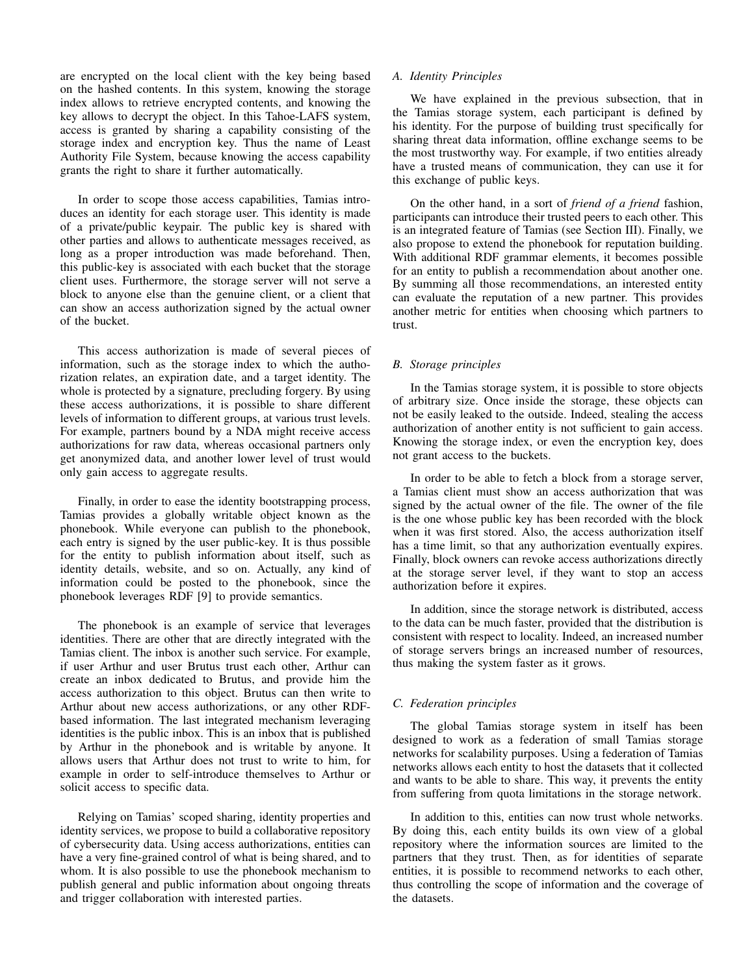are encrypted on the local client with the key being based on the hashed contents. In this system, knowing the storage index allows to retrieve encrypted contents, and knowing the key allows to decrypt the object. In this Tahoe-LAFS system, access is granted by sharing a capability consisting of the storage index and encryption key. Thus the name of Least Authority File System, because knowing the access capability grants the right to share it further automatically.

In order to scope those access capabilities, Tamias introduces an identity for each storage user. This identity is made of a private/public keypair. The public key is shared with other parties and allows to authenticate messages received, as long as a proper introduction was made beforehand. Then, this public-key is associated with each bucket that the storage client uses. Furthermore, the storage server will not serve a block to anyone else than the genuine client, or a client that can show an access authorization signed by the actual owner of the bucket.

This access authorization is made of several pieces of information, such as the storage index to which the authorization relates, an expiration date, and a target identity. The whole is protected by a signature, precluding forgery. By using these access authorizations, it is possible to share different levels of information to different groups, at various trust levels. For example, partners bound by a NDA might receive access authorizations for raw data, whereas occasional partners only get anonymized data, and another lower level of trust would only gain access to aggregate results.

Finally, in order to ease the identity bootstrapping process, Tamias provides a globally writable object known as the phonebook. While everyone can publish to the phonebook, each entry is signed by the user public-key. It is thus possible for the entity to publish information about itself, such as identity details, website, and so on. Actually, any kind of information could be posted to the phonebook, since the phonebook leverages RDF [9] to provide semantics.

The phonebook is an example of service that leverages identities. There are other that are directly integrated with the Tamias client. The inbox is another such service. For example, if user Arthur and user Brutus trust each other, Arthur can create an inbox dedicated to Brutus, and provide him the access authorization to this object. Brutus can then write to Arthur about new access authorizations, or any other RDFbased information. The last integrated mechanism leveraging identities is the public inbox. This is an inbox that is published by Arthur in the phonebook and is writable by anyone. It allows users that Arthur does not trust to write to him, for example in order to self-introduce themselves to Arthur or solicit access to specific data.

Relying on Tamias' scoped sharing, identity properties and identity services, we propose to build a collaborative repository of cybersecurity data. Using access authorizations, entities can have a very fine-grained control of what is being shared, and to whom. It is also possible to use the phonebook mechanism to publish general and public information about ongoing threats and trigger collaboration with interested parties.

# *A. Identity Principles*

We have explained in the previous subsection, that in the Tamias storage system, each participant is defined by his identity. For the purpose of building trust specifically for sharing threat data information, offline exchange seems to be the most trustworthy way. For example, if two entities already have a trusted means of communication, they can use it for this exchange of public keys.

On the other hand, in a sort of *friend of a friend* fashion, participants can introduce their trusted peers to each other. This is an integrated feature of Tamias (see Section III). Finally, we also propose to extend the phonebook for reputation building. With additional RDF grammar elements, it becomes possible for an entity to publish a recommendation about another one. By summing all those recommendations, an interested entity can evaluate the reputation of a new partner. This provides another metric for entities when choosing which partners to trust.

# *B. Storage principles*

In the Tamias storage system, it is possible to store objects of arbitrary size. Once inside the storage, these objects can not be easily leaked to the outside. Indeed, stealing the access authorization of another entity is not sufficient to gain access. Knowing the storage index, or even the encryption key, does not grant access to the buckets.

In order to be able to fetch a block from a storage server, a Tamias client must show an access authorization that was signed by the actual owner of the file. The owner of the file is the one whose public key has been recorded with the block when it was first stored. Also, the access authorization itself has a time limit, so that any authorization eventually expires. Finally, block owners can revoke access authorizations directly at the storage server level, if they want to stop an access authorization before it expires.

In addition, since the storage network is distributed, access to the data can be much faster, provided that the distribution is consistent with respect to locality. Indeed, an increased number of storage servers brings an increased number of resources, thus making the system faster as it grows.

# *C. Federation principles*

The global Tamias storage system in itself has been designed to work as a federation of small Tamias storage networks for scalability purposes. Using a federation of Tamias networks allows each entity to host the datasets that it collected and wants to be able to share. This way, it prevents the entity from suffering from quota limitations in the storage network.

In addition to this, entities can now trust whole networks. By doing this, each entity builds its own view of a global repository where the information sources are limited to the partners that they trust. Then, as for identities of separate entities, it is possible to recommend networks to each other, thus controlling the scope of information and the coverage of the datasets.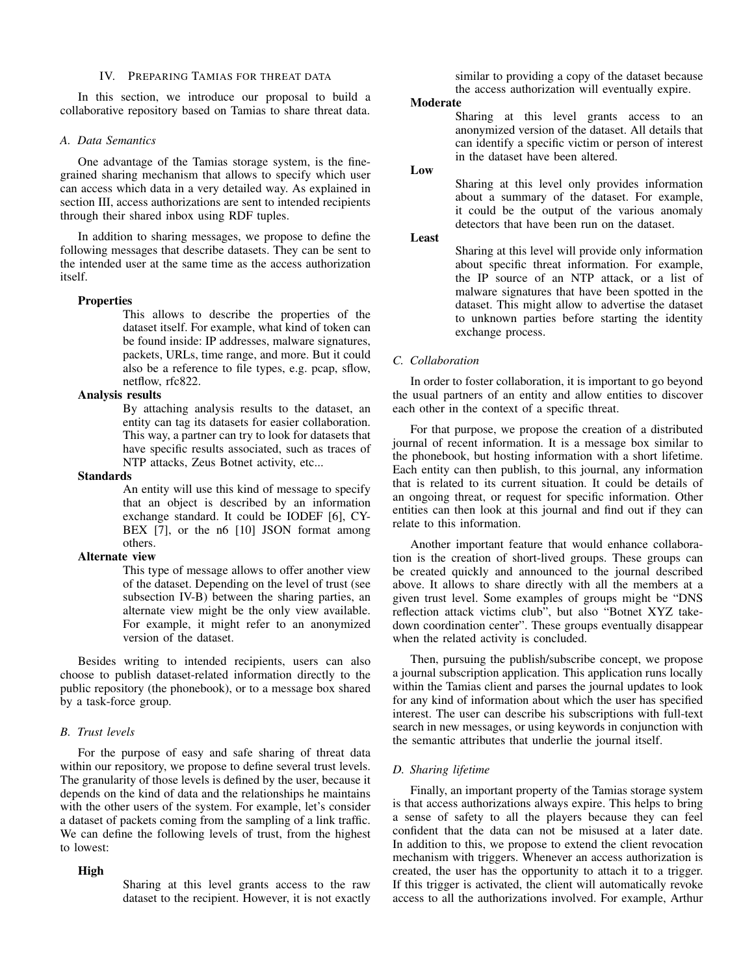## IV. PREPARING TAMIAS FOR THREAT DATA

In this section, we introduce our proposal to build a collaborative repository based on Tamias to share threat data.

## *A. Data Semantics*

One advantage of the Tamias storage system, is the finegrained sharing mechanism that allows to specify which user can access which data in a very detailed way. As explained in section III, access authorizations are sent to intended recipients through their shared inbox using RDF tuples.

In addition to sharing messages, we propose to define the following messages that describe datasets. They can be sent to the intended user at the same time as the access authorization itself.

#### **Properties**

This allows to describe the properties of the dataset itself. For example, what kind of token can be found inside: IP addresses, malware signatures, packets, URLs, time range, and more. But it could also be a reference to file types, e.g. pcap, sflow, netflow, rfc822.

#### Analysis results

By attaching analysis results to the dataset, an entity can tag its datasets for easier collaboration. This way, a partner can try to look for datasets that have specific results associated, such as traces of NTP attacks, Zeus Botnet activity, etc...

## **Standards**

An entity will use this kind of message to specify that an object is described by an information exchange standard. It could be IODEF [6], CY-BEX [7], or the n6 [10] JSON format among others.

# Alternate view

This type of message allows to offer another view of the dataset. Depending on the level of trust (see subsection IV-B) between the sharing parties, an alternate view might be the only view available. For example, it might refer to an anonymized version of the dataset.

Besides writing to intended recipients, users can also choose to publish dataset-related information directly to the public repository (the phonebook), or to a message box shared by a task-force group.

# *B. Trust levels*

For the purpose of easy and safe sharing of threat data within our repository, we propose to define several trust levels. The granularity of those levels is defined by the user, because it depends on the kind of data and the relationships he maintains with the other users of the system. For example, let's consider a dataset of packets coming from the sampling of a link traffic. We can define the following levels of trust, from the highest to lowest:

## High

Sharing at this level grants access to the raw dataset to the recipient. However, it is not exactly similar to providing a copy of the dataset because the access authorization will eventually expire.

#### Moderate

Sharing at this level grants access to an anonymized version of the dataset. All details that can identify a specific victim or person of interest in the dataset have been altered.

# Low

Sharing at this level only provides information about a summary of the dataset. For example, it could be the output of the various anomaly detectors that have been run on the dataset.

# Least

Sharing at this level will provide only information about specific threat information. For example, the IP source of an NTP attack, or a list of malware signatures that have been spotted in the dataset. This might allow to advertise the dataset to unknown parties before starting the identity exchange process.

#### *C. Collaboration*

In order to foster collaboration, it is important to go beyond the usual partners of an entity and allow entities to discover each other in the context of a specific threat.

For that purpose, we propose the creation of a distributed journal of recent information. It is a message box similar to the phonebook, but hosting information with a short lifetime. Each entity can then publish, to this journal, any information that is related to its current situation. It could be details of an ongoing threat, or request for specific information. Other entities can then look at this journal and find out if they can relate to this information.

Another important feature that would enhance collaboration is the creation of short-lived groups. These groups can be created quickly and announced to the journal described above. It allows to share directly with all the members at a given trust level. Some examples of groups might be "DNS reflection attack victims club", but also "Botnet XYZ takedown coordination center". These groups eventually disappear when the related activity is concluded.

Then, pursuing the publish/subscribe concept, we propose a journal subscription application. This application runs locally within the Tamias client and parses the journal updates to look for any kind of information about which the user has specified interest. The user can describe his subscriptions with full-text search in new messages, or using keywords in conjunction with the semantic attributes that underlie the journal itself.

## *D. Sharing lifetime*

Finally, an important property of the Tamias storage system is that access authorizations always expire. This helps to bring a sense of safety to all the players because they can feel confident that the data can not be misused at a later date. In addition to this, we propose to extend the client revocation mechanism with triggers. Whenever an access authorization is created, the user has the opportunity to attach it to a trigger. If this trigger is activated, the client will automatically revoke access to all the authorizations involved. For example, Arthur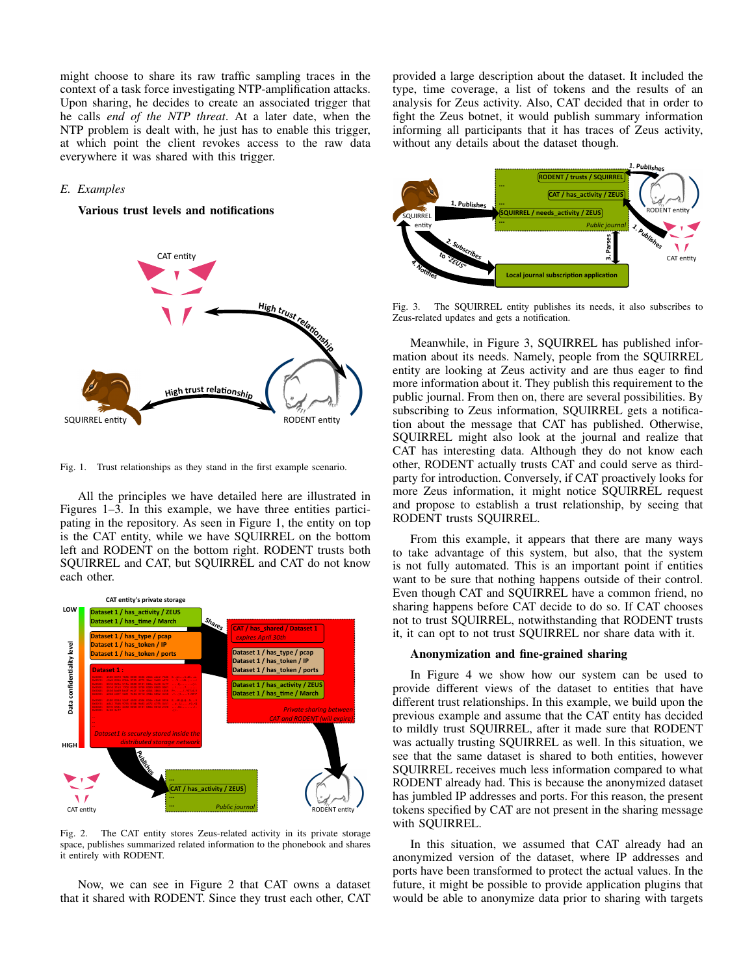might choose to share its raw traffic sampling traces in the context of a task force investigating NTP-amplification attacks. Upon sharing, he decides to create an associated trigger that he calls *end of the NTP threat*. At a later date, when the NTP problem is dealt with, he just has to enable this trigger, at which point the client revokes access to the raw data everywhere it was shared with this trigger.

#### *E. Examples*

#### Various trust levels and notifications



Fig. 1. Trust relationships as they stand in the first example scenario.

All the principles we have detailed here are illustrated in Figures 1–3. In this example, we have three entities participating in the repository. As seen in Figure 1, the entity on top is the CAT entity, while we have SQUIRREL on the bottom left and RODENT on the bottom right. RODENT trusts both SQUIRREL and CAT, but SQUIRREL and CAT do not know each other.



Fig. 2. The CAT entity stores Zeus-related activity in its private storage space, publishes summarized related information to the phonebook and shares it entirely with RODENT.

Now, we can see in Figure 2 that CAT owns a dataset that it shared with RODENT. Since they trust each other, CAT

provided a large description about the dataset. It included the type, time coverage, a list of tokens and the results of an analysis for Zeus activity. Also, CAT decided that in order to fight the Zeus botnet, it would publish summary information informing all participants that it has traces of Zeus activity, without any details about the dataset though.



Fig. 3. The SQUIRREL entity publishes its needs, it also subscribes to Zeus-related updates and gets a notification.

Meanwhile, in Figure 3, SQUIRREL has published information about its needs. Namely, people from the SQUIRREL entity are looking at Zeus activity and are thus eager to find more information about it. They publish this requirement to the public journal. From then on, there are several possibilities. By subscribing to Zeus information, SQUIRREL gets a notification about the message that CAT has published. Otherwise, SQUIRREL might also look at the journal and realize that CAT has interesting data. Although they do not know each other, RODENT actually trusts CAT and could serve as thirdparty for introduction. Conversely, if CAT proactively looks for more Zeus information, it might notice SQUIRREL request and propose to establish a trust relationship, by seeing that RODENT trusts SQUIRREL.

From this example, it appears that there are many ways to take advantage of this system, but also, that the system is not fully automated. This is an important point if entities want to be sure that nothing happens outside of their control. Even though CAT and SQUIRREL have a common friend, no sharing happens before CAT decide to do so. If CAT chooses not to trust SQUIRREL, notwithstanding that RODENT trusts it, it can opt to not trust SQUIRREL nor share data with it.

## Anonymization and fine-grained sharing

In Figure 4 we show how our system can be used to provide different views of the dataset to entities that have different trust relationships. In this example, we build upon the previous example and assume that the CAT entity has decided to mildly trust SQUIRREL, after it made sure that RODENT was actually trusting SQUIRREL as well. In this situation, we see that the same dataset is shared to both entities, however SQUIRREL receives much less information compared to what RODENT already had. This is because the anonymized dataset has jumbled IP addresses and ports. For this reason, the present tokens specified by CAT are not present in the sharing message with SQUIRREL.

In this situation, we assumed that CAT already had an anonymized version of the dataset, where IP addresses and ports have been transformed to protect the actual values. In the future, it might be possible to provide application plugins that would be able to anonymize data prior to sharing with targets